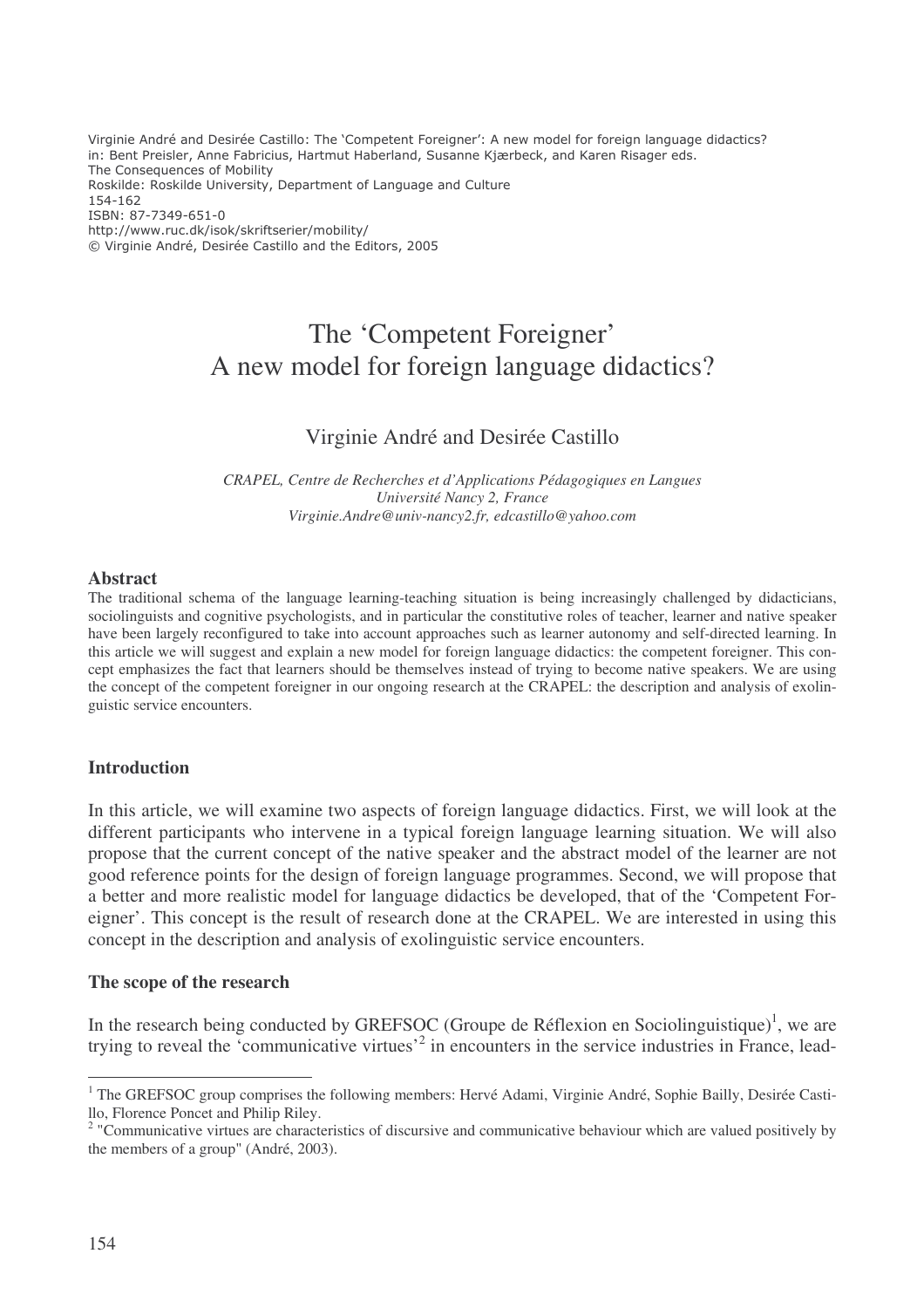Virginie André and Desirée Castillo: The 'Competent Foreigner': A new model for foreign language didactics? in: Bent Preisler, Anne Fabricius, Hartmut Haberland, Susanne Kjærbeck, and Karen Risager eds. The Consequences of Mobility Roskilde: Roskilde University, Department of Language and Culture 154-162 ISBN: 87-7349-651-0 http://www.ruc.dk/isok/skriftserier/mobility/ © Virginie André, Desirée Castillo and the Editors, 2005

# The 'Competent Foreigner' A new model for foreign language didactics?

# Virginie André and Desirée Castillo

*CRAPEL, Centre de Recherches et d'Applications Pédagogiques en Langues Université Nancy 2, France Virginie.Andre@univ-nancy2.fr, edcastillo@yahoo.com*

#### **Abstract**

The traditional schema of the language learning-teaching situation is being increasingly challenged by didacticians, sociolinguists and cognitive psychologists, and in particular the constitutive roles of teacher, learner and native speaker have been largely reconfigured to take into account approaches such as learner autonomy and self-directed learning. In this article we will suggest and explain a new model for foreign language didactics: the competent foreigner. This concept emphasizes the fact that learners should be themselves instead of trying to become native speakers. We are using the concept of the competent foreigner in our ongoing research at the CRAPEL: the description and analysis of exolinguistic service encounters.

## **Introduction**

In this article, we will examine two aspects of foreign language didactics. First, we will look at the different participants who intervene in a typical foreign language learning situation. We will also propose that the current concept of the native speaker and the abstract model of the learner are not good reference points for the design of foreign language programmes. Second, we will propose that a better and more realistic model for language didactics be developed, that of the 'Competent Foreigner'. This concept is the result of research done at the CRAPEL. We are interested in using this concept in the description and analysis of exolinguistic service encounters.

#### **The scope of the research**

In the research being conducted by GREFSOC (Groupe de Réflexion en Sociolinguistique)<sup>1</sup>, we are trying to reveal the 'communicative virtues'<sup>2</sup> in encounters in the service industries in France, lead-

<sup>&</sup>lt;sup>1</sup> The GREFSOC group comprises the following members: Hervé Adami, Virginie André, Sophie Bailly, Desirée Castillo, Florence Poncet and Philip Riley.

<sup>&</sup>lt;sup>2</sup> "Communicative virtues are characteristics of discursive and communicative behaviour which are valued positively by the members of a group" (André, 2003).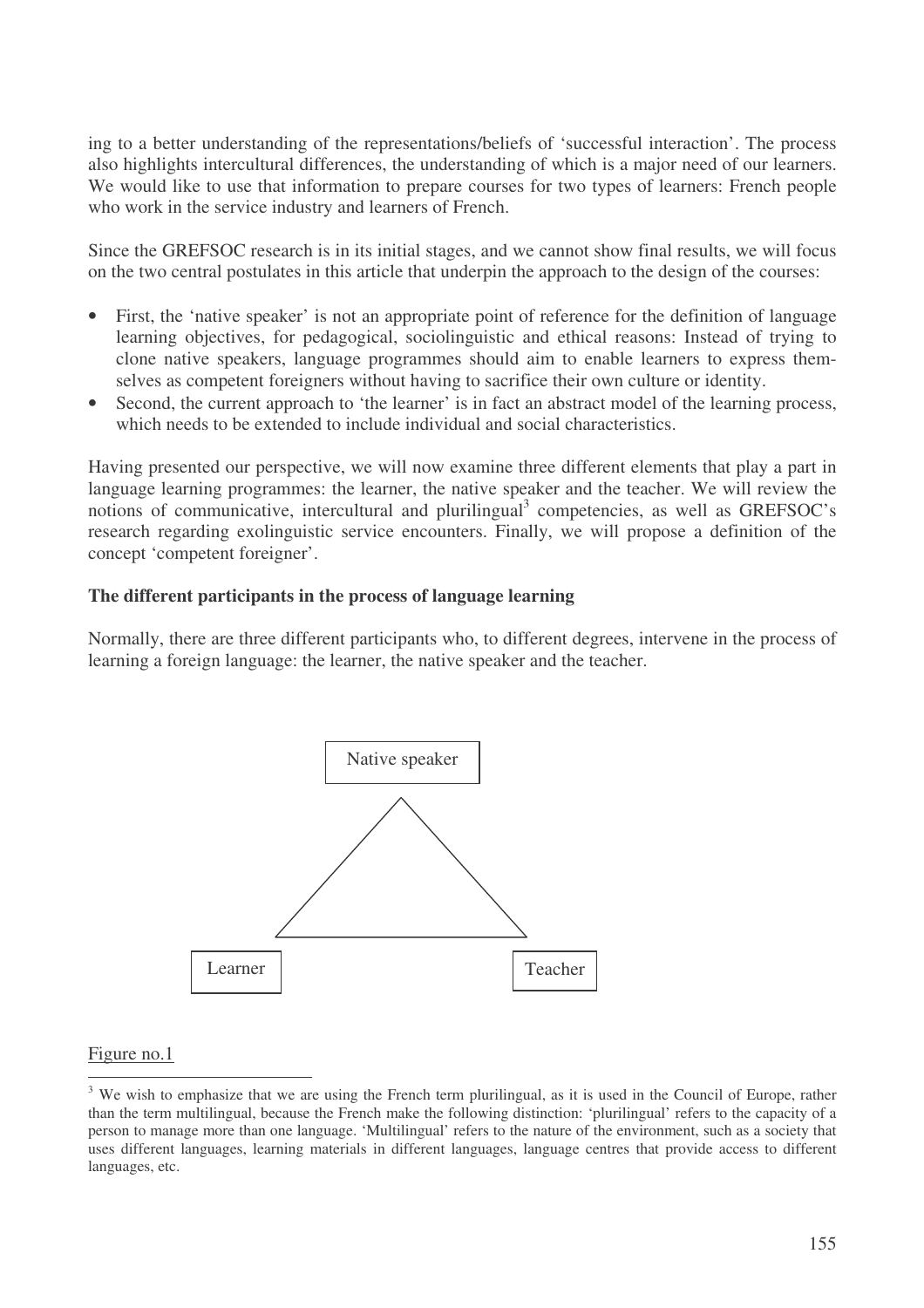ing to a better understanding of the representations/beliefs of 'successful interaction'. The process also highlights intercultural differences, the understanding of which is a major need of our learners. We would like to use that information to prepare courses for two types of learners: French people who work in the service industry and learners of French.

Since the GREFSOC research is in its initial stages, and we cannot show final results, we will focus on the two central postulates in this article that underpin the approach to the design of the courses:

- First, the 'native speaker' is not an appropriate point of reference for the definition of language learning objectives, for pedagogical, sociolinguistic and ethical reasons: Instead of trying to clone native speakers, language programmes should aim to enable learners to express themselves as competent foreigners without having to sacrifice their own culture or identity.
- Second, the current approach to 'the learner' is in fact an abstract model of the learning process, which needs to be extended to include individual and social characteristics.

Having presented our perspective, we will now examine three different elements that play a part in language learning programmes: the learner, the native speaker and the teacher. We will review the notions of communicative, intercultural and plurilingual<sup>3</sup> competencies, as well as GREFSOC's research regarding exolinguistic service encounters. Finally, we will propose a definition of the concept 'competent foreigner'.

## **The different participants in the process of language learning**

Normally, there are three different participants who, to different degrees, intervene in the process of learning a foreign language: the learner, the native speaker and the teacher.



#### Figure no.1

<sup>&</sup>lt;sup>3</sup> We wish to emphasize that we are using the French term plurilingual, as it is used in the Council of Europe, rather than the term multilingual, because the French make the following distinction: 'plurilingual' refers to the capacity of a person to manage more than one language. 'Multilingual' refers to the nature of the environment, such as a society that uses different languages, learning materials in different languages, language centres that provide access to different languages, etc.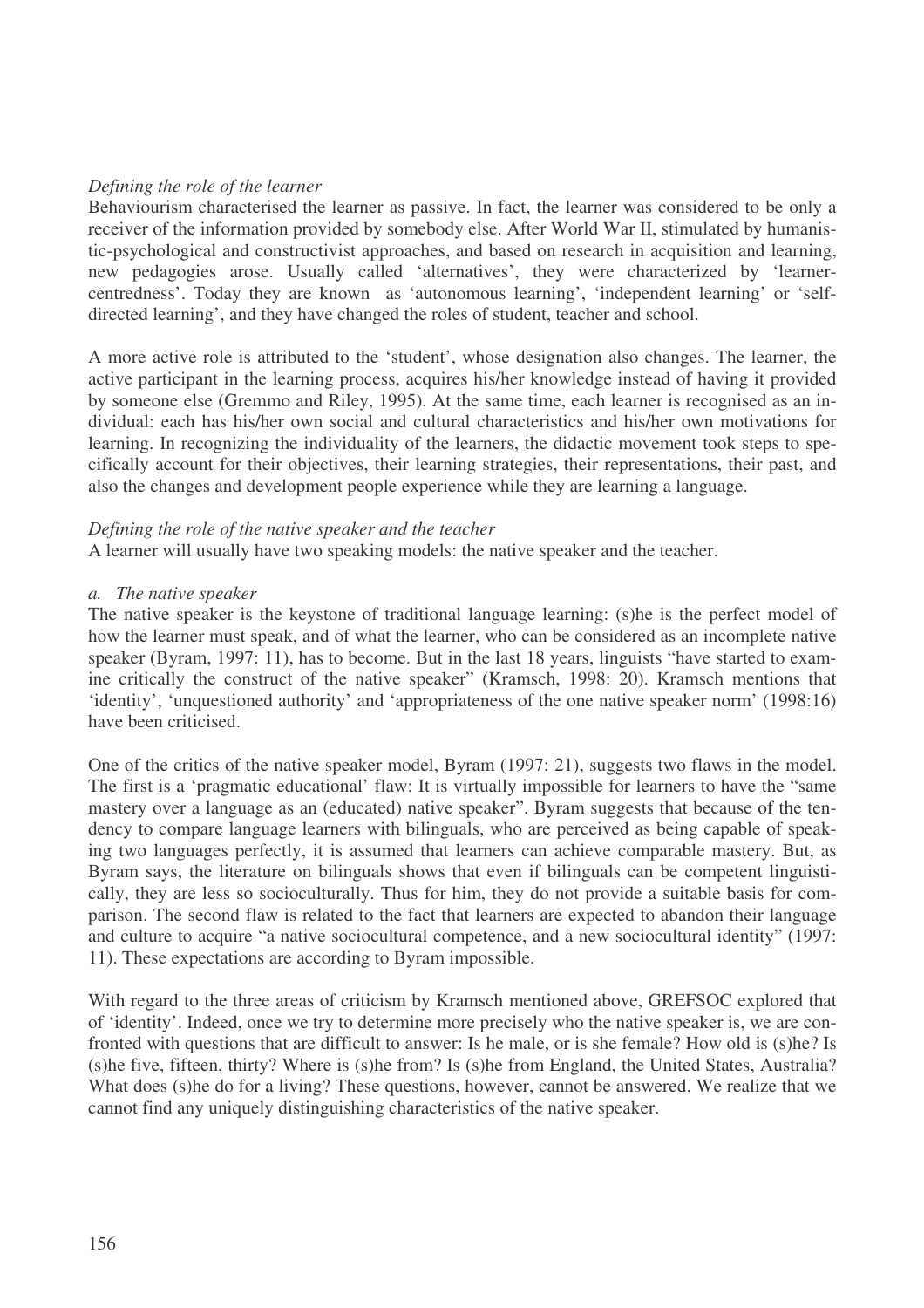## *Defining the role of the learner*

Behaviourism characterised the learner as passive. In fact, the learner was considered to be only a receiver of the information provided by somebody else. After World War II, stimulated by humanistic-psychological and constructivist approaches, and based on research in acquisition and learning, new pedagogies arose. Usually called 'alternatives', they were characterized by 'learnercentredness'. Today they are known as 'autonomous learning', 'independent learning' or 'selfdirected learning', and they have changed the roles of student, teacher and school.

A more active role is attributed to the 'student', whose designation also changes. The learner, the active participant in the learning process, acquires his/her knowledge instead of having it provided by someone else (Gremmo and Riley, 1995). At the same time, each learner is recognised as an individual: each has his/her own social and cultural characteristics and his/her own motivations for learning. In recognizing the individuality of the learners, the didactic movement took steps to specifically account for their objectives, their learning strategies, their representations, their past, and also the changes and development people experience while they are learning a language.

#### *Defining the role of the native speaker and the teacher*

A learner will usually have two speaking models: the native speaker and the teacher.

#### *a. The native speaker*

The native speaker is the keystone of traditional language learning: (s)he is the perfect model of how the learner must speak, and of what the learner, who can be considered as an incomplete native speaker (Byram, 1997: 11), has to become. But in the last 18 years, linguists "have started to examine critically the construct of the native speaker" (Kramsch, 1998: 20). Kramsch mentions that 'identity', 'unquestioned authority' and 'appropriateness of the one native speaker norm' (1998:16) have been criticised.

One of the critics of the native speaker model, Byram (1997: 21), suggests two flaws in the model. The first is a 'pragmatic educational' flaw: It is virtually impossible for learners to have the "same mastery over a language as an (educated) native speaker". Byram suggests that because of the tendency to compare language learners with bilinguals, who are perceived as being capable of speaking two languages perfectly, it is assumed that learners can achieve comparable mastery. But, as Byram says, the literature on bilinguals shows that even if bilinguals can be competent linguistically, they are less so socioculturally. Thus for him, they do not provide a suitable basis for comparison. The second flaw is related to the fact that learners are expected to abandon their language and culture to acquire "a native sociocultural competence, and a new sociocultural identity" (1997: 11). These expectations are according to Byram impossible.

With regard to the three areas of criticism by Kramsch mentioned above, GREFSOC explored that of 'identity'. Indeed, once we try to determine more precisely who the native speaker is, we are confronted with questions that are difficult to answer: Is he male, or is she female? How old is (s)he? Is (s)he five, fifteen, thirty? Where is (s)he from? Is (s)he from England, the United States, Australia? What does (s)he do for a living? These questions, however, cannot be answered. We realize that we cannot find any uniquely distinguishing characteristics of the native speaker.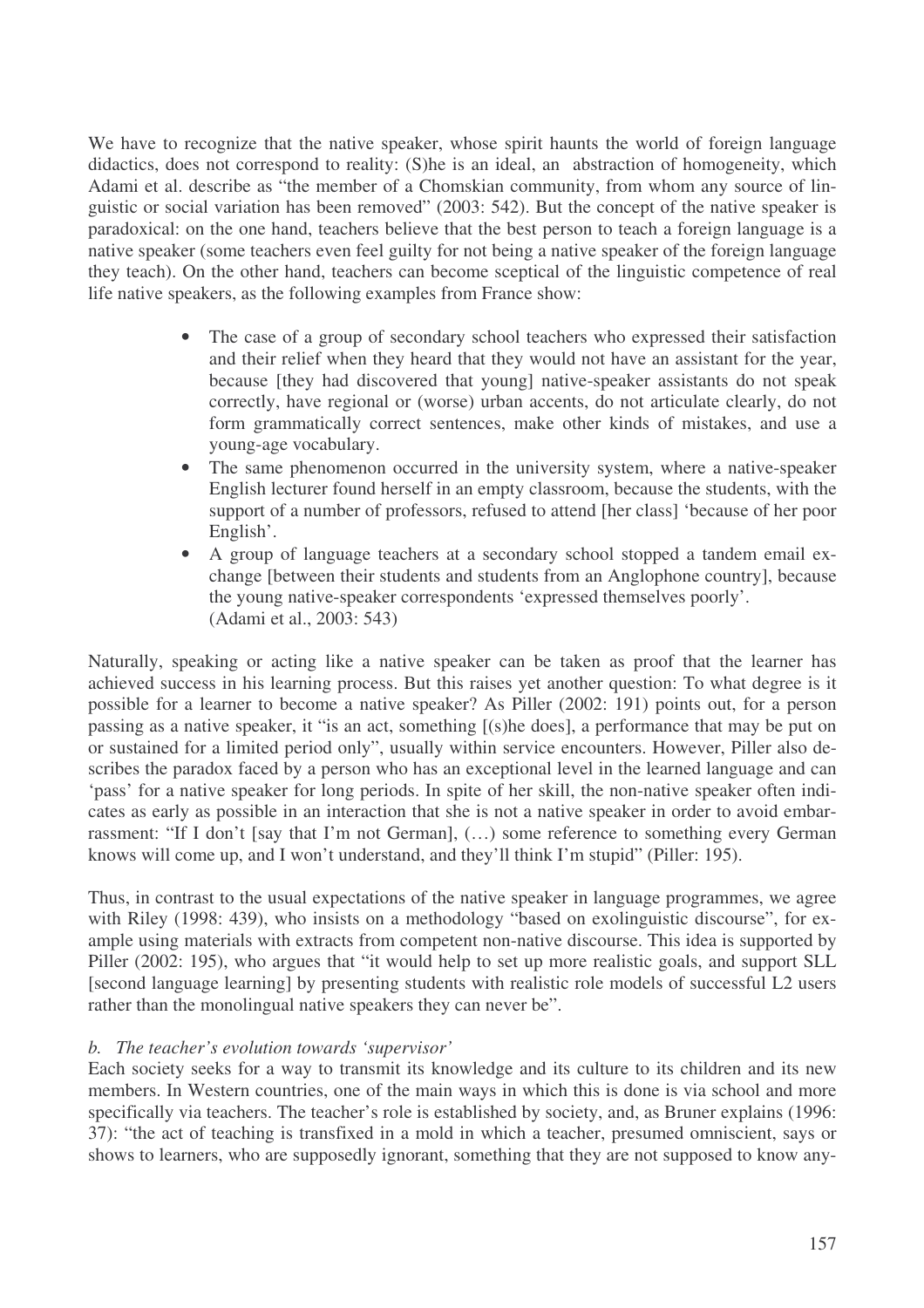We have to recognize that the native speaker, whose spirit haunts the world of foreign language didactics, does not correspond to reality: (S)he is an ideal, an abstraction of homogeneity, which Adami et al. describe as "the member of a Chomskian community, from whom any source of linguistic or social variation has been removed" (2003: 542). But the concept of the native speaker is paradoxical: on the one hand, teachers believe that the best person to teach a foreign language is a native speaker (some teachers even feel guilty for not being a native speaker of the foreign language they teach). On the other hand, teachers can become sceptical of the linguistic competence of real life native speakers, as the following examples from France show:

- The case of a group of secondary school teachers who expressed their satisfaction and their relief when they heard that they would not have an assistant for the year, because [they had discovered that young] native-speaker assistants do not speak correctly, have regional or (worse) urban accents, do not articulate clearly, do not form grammatically correct sentences, make other kinds of mistakes, and use a young-age vocabulary.
- The same phenomenon occurred in the university system, where a native-speaker English lecturer found herself in an empty classroom, because the students, with the support of a number of professors, refused to attend [her class] 'because of her poor English'.
- A group of language teachers at a secondary school stopped a tandem email exchange [between their students and students from an Anglophone country], because the young native-speaker correspondents 'expressed themselves poorly'. (Adami et al., 2003: 543)

Naturally, speaking or acting like a native speaker can be taken as proof that the learner has achieved success in his learning process. But this raises yet another question: To what degree is it possible for a learner to become a native speaker? As Piller (2002: 191) points out, for a person passing as a native speaker, it "is an act, something [(s)he does], a performance that may be put on or sustained for a limited period only", usually within service encounters. However, Piller also describes the paradox faced by a person who has an exceptional level in the learned language and can 'pass' for a native speaker for long periods. In spite of her skill, the non-native speaker often indicates as early as possible in an interaction that she is not a native speaker in order to avoid embarrassment: "If I don't [say that I'm not German], (…) some reference to something every German knows will come up, and I won't understand, and they'll think I'm stupid" (Piller: 195).

Thus, in contrast to the usual expectations of the native speaker in language programmes, we agree with Riley (1998: 439), who insists on a methodology "based on exolinguistic discourse", for example using materials with extracts from competent non-native discourse. This idea is supported by Piller (2002: 195), who argues that "it would help to set up more realistic goals, and support SLL [second language learning] by presenting students with realistic role models of successful L2 users rather than the monolingual native speakers they can never be".

## *b. The teacher's evolution towards 'supervisor'*

Each society seeks for a way to transmit its knowledge and its culture to its children and its new members. In Western countries, one of the main ways in which this is done is via school and more specifically via teachers. The teacher's role is established by society, and, as Bruner explains (1996: 37): "the act of teaching is transfixed in a mold in which a teacher, presumed omniscient, says or shows to learners, who are supposedly ignorant, something that they are not supposed to know any-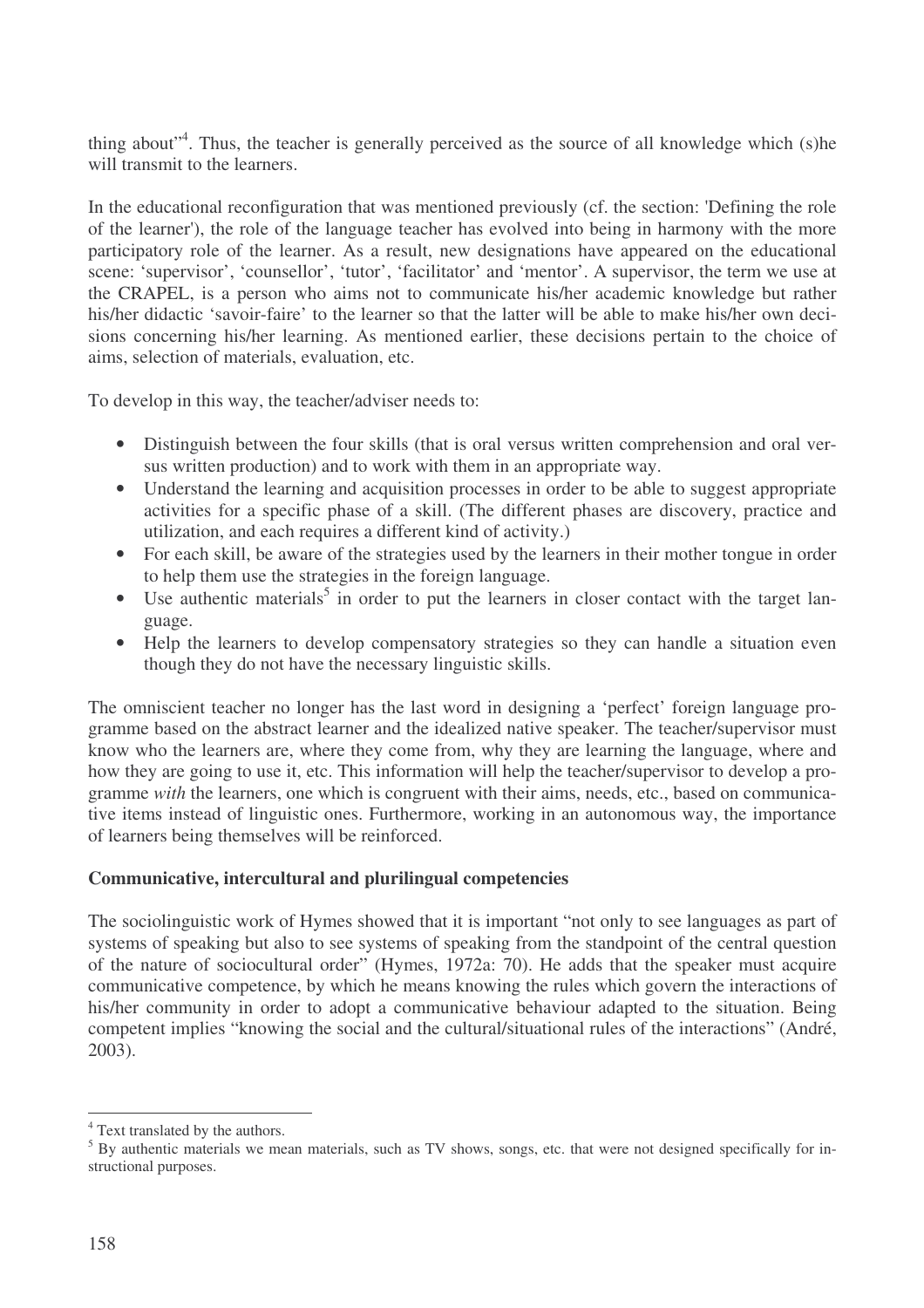thing about"<sup>4</sup>. Thus, the teacher is generally perceived as the source of all knowledge which (s)he will transmit to the learners.

In the educational reconfiguration that was mentioned previously (cf. the section: 'Defining the role of the learner'), the role of the language teacher has evolved into being in harmony with the more participatory role of the learner. As a result, new designations have appeared on the educational scene: 'supervisor', 'counsellor', 'tutor', 'facilitator' and 'mentor'. A supervisor, the term we use at the CRAPEL, is a person who aims not to communicate his/her academic knowledge but rather his/her didactic 'savoir-faire' to the learner so that the latter will be able to make his/her own decisions concerning his/her learning. As mentioned earlier, these decisions pertain to the choice of aims, selection of materials, evaluation, etc.

To develop in this way, the teacher/adviser needs to:

- Distinguish between the four skills (that is oral versus written comprehension and oral versus written production) and to work with them in an appropriate way.
- Understand the learning and acquisition processes in order to be able to suggest appropriate activities for a specific phase of a skill. (The different phases are discovery, practice and utilization, and each requires a different kind of activity.)
- For each skill, be aware of the strategies used by the learners in their mother tongue in order to help them use the strategies in the foreign language.
- $\bullet$  Use authentic materials<sup>5</sup> in order to put the learners in closer contact with the target language.
- Help the learners to develop compensatory strategies so they can handle a situation even though they do not have the necessary linguistic skills.

The omniscient teacher no longer has the last word in designing a 'perfect' foreign language programme based on the abstract learner and the idealized native speaker. The teacher/supervisor must know who the learners are, where they come from, why they are learning the language, where and how they are going to use it, etc. This information will help the teacher/supervisor to develop a programme *with* the learners, one which is congruent with their aims, needs, etc., based on communicative items instead of linguistic ones. Furthermore, working in an autonomous way, the importance of learners being themselves will be reinforced.

## **Communicative, intercultural and plurilingual competencies**

The sociolinguistic work of Hymes showed that it is important "not only to see languages as part of systems of speaking but also to see systems of speaking from the standpoint of the central question of the nature of sociocultural order" (Hymes, 1972a: 70). He adds that the speaker must acquire communicative competence, by which he means knowing the rules which govern the interactions of his/her community in order to adopt a communicative behaviour adapted to the situation. Being competent implies "knowing the social and the cultural/situational rules of the interactions" (André, 2003).

<sup>4</sup> Text translated by the authors.

<sup>&</sup>lt;sup>5</sup> By authentic materials we mean materials, such as TV shows, songs, etc. that were not designed specifically for instructional purposes.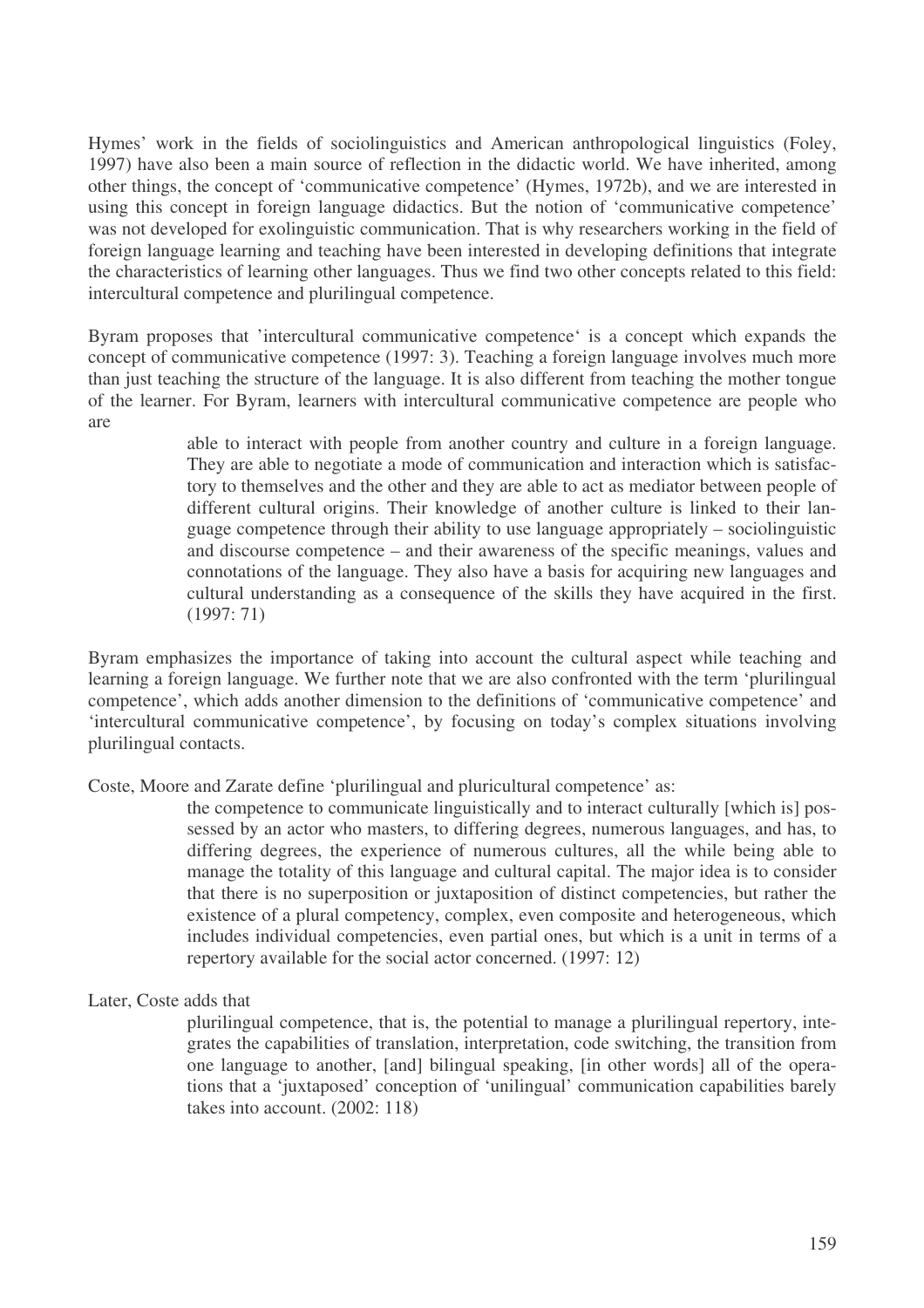Hymes' work in the fields of sociolinguistics and American anthropological linguistics (Foley, 1997) have also been a main source of reflection in the didactic world. We have inherited, among other things, the concept of 'communicative competence' (Hymes, 1972b), and we are interested in using this concept in foreign language didactics. But the notion of 'communicative competence' was not developed for exolinguistic communication. That is why researchers working in the field of foreign language learning and teaching have been interested in developing definitions that integrate the characteristics of learning other languages. Thus we find two other concepts related to this field: intercultural competence and plurilingual competence.

Byram proposes that 'intercultural communicative competence' is a concept which expands the concept of communicative competence (1997: 3). Teaching a foreign language involves much more than just teaching the structure of the language. It is also different from teaching the mother tongue of the learner. For Byram, learners with intercultural communicative competence are people who are

> able to interact with people from another country and culture in a foreign language. They are able to negotiate a mode of communication and interaction which is satisfactory to themselves and the other and they are able to act as mediator between people of different cultural origins. Their knowledge of another culture is linked to their language competence through their ability to use language appropriately – sociolinguistic and discourse competence – and their awareness of the specific meanings, values and connotations of the language. They also have a basis for acquiring new languages and cultural understanding as a consequence of the skills they have acquired in the first. (1997: 71)

Byram emphasizes the importance of taking into account the cultural aspect while teaching and learning a foreign language. We further note that we are also confronted with the term 'plurilingual competence', which adds another dimension to the definitions of 'communicative competence' and 'intercultural communicative competence', by focusing on today's complex situations involving plurilingual contacts.

Coste, Moore and Zarate define 'plurilingual and pluricultural competence' as:

the competence to communicate linguistically and to interact culturally [which is] possessed by an actor who masters, to differing degrees, numerous languages, and has, to differing degrees, the experience of numerous cultures, all the while being able to manage the totality of this language and cultural capital. The major idea is to consider that there is no superposition or juxtaposition of distinct competencies, but rather the existence of a plural competency, complex, even composite and heterogeneous, which includes individual competencies, even partial ones, but which is a unit in terms of a repertory available for the social actor concerned. (1997: 12)

#### Later, Coste adds that

plurilingual competence, that is, the potential to manage a plurilingual repertory, integrates the capabilities of translation, interpretation, code switching, the transition from one language to another, [and] bilingual speaking, [in other words] all of the operations that a 'juxtaposed' conception of 'unilingual' communication capabilities barely takes into account. (2002: 118)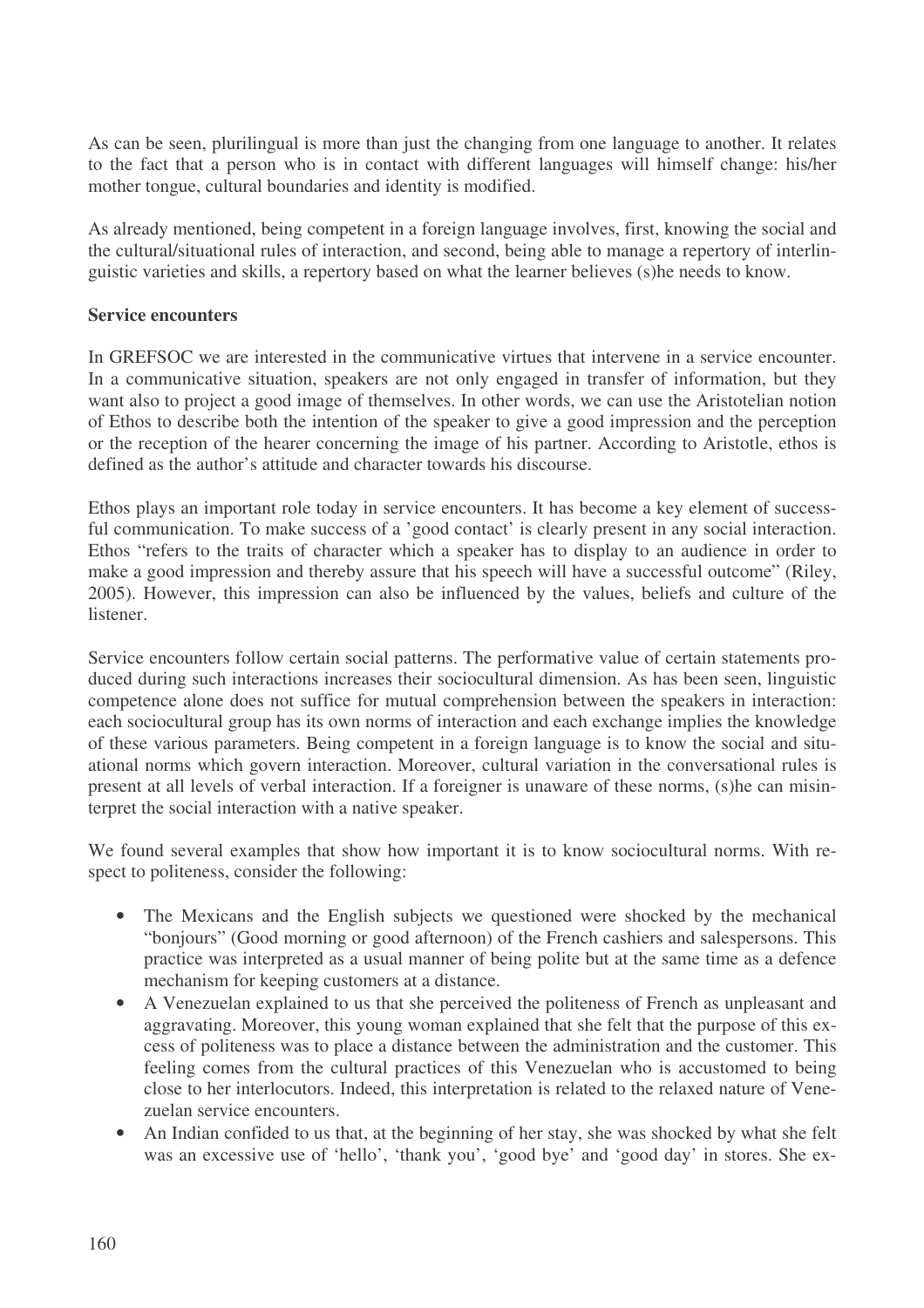As can be seen, plurilingual is more than just the changing from one language to another. It relates to the fact that a person who is in contact with different languages will himself change: his/her mother tongue, cultural boundaries and identity is modified.

As already mentioned, being competent in a foreign language involves, first, knowing the social and the cultural/situational rules of interaction, and second, being able to manage a repertory of interlinguistic varieties and skills, a repertory based on what the learner believes (s)he needs to know.

## **Service encounters**

In GREFSOC we are interested in the communicative virtues that intervene in a service encounter. In a communicative situation, speakers are not only engaged in transfer of information, but they want also to project a good image of themselves. In other words, we can use the Aristotelian notion of Ethos to describe both the intention of the speaker to give a good impression and the perception or the reception of the hearer concerning the image of his partner. According to Aristotle, ethos is defined as the author's attitude and character towards his discourse.

Ethos plays an important role today in service encounters. It has become a key element of successful communication. To make success of a 'good contact' is clearly present in any social interaction. Ethos "refers to the traits of character which a speaker has to display to an audience in order to make a good impression and thereby assure that his speech will have a successful outcome" (Riley, 2005). However, this impression can also be influenced by the values, beliefs and culture of the listener.

Service encounters follow certain social patterns. The performative value of certain statements produced during such interactions increases their sociocultural dimension. As has been seen, linguistic competence alone does not suffice for mutual comprehension between the speakers in interaction: each sociocultural group has its own norms of interaction and each exchange implies the knowledge of these various parameters. Being competent in a foreign language is to know the social and situational norms which govern interaction. Moreover, cultural variation in the conversational rules is present at all levels of verbal interaction. If a foreigner is unaware of these norms, (s)he can misinterpret the social interaction with a native speaker.

We found several examples that show how important it is to know sociocultural norms. With respect to politeness, consider the following:

- The Mexicans and the English subjects we questioned were shocked by the mechanical "bonjours" (Good morning or good afternoon) of the French cashiers and salespersons. This practice was interpreted as a usual manner of being polite but at the same time as a defence mechanism for keeping customers at a distance.
- A Venezuelan explained to us that she perceived the politeness of French as unpleasant and aggravating. Moreover, this young woman explained that she felt that the purpose of this excess of politeness was to place a distance between the administration and the customer. This feeling comes from the cultural practices of this Venezuelan who is accustomed to being close to her interlocutors. Indeed, this interpretation is related to the relaxed nature of Venezuelan service encounters.
- An Indian confided to us that, at the beginning of her stay, she was shocked by what she felt was an excessive use of 'hello', 'thank you', 'good bye' and 'good day' in stores. She ex-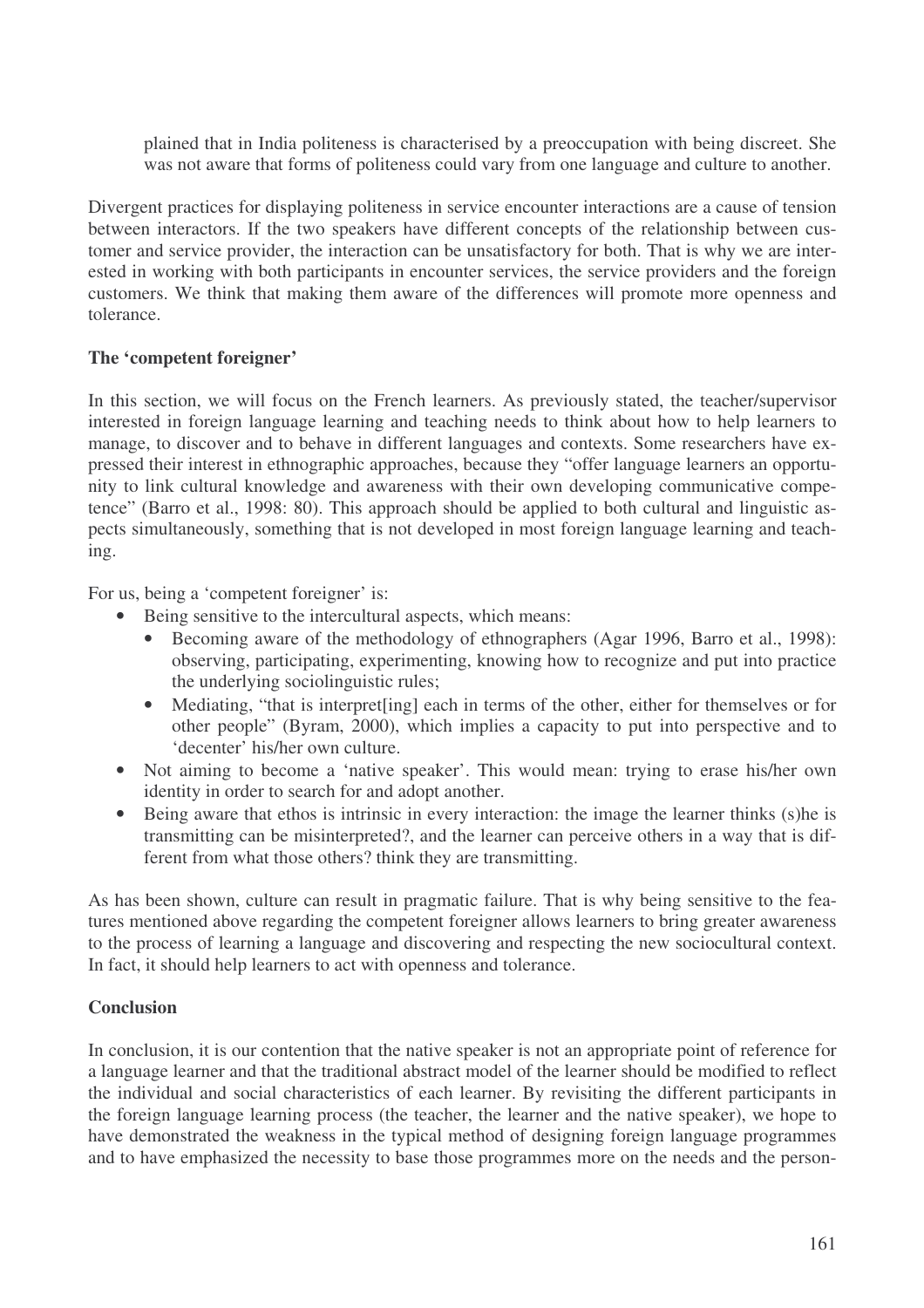plained that in India politeness is characterised by a preoccupation with being discreet. She was not aware that forms of politeness could vary from one language and culture to another.

Divergent practices for displaying politeness in service encounter interactions are a cause of tension between interactors. If the two speakers have different concepts of the relationship between customer and service provider, the interaction can be unsatisfactory for both. That is why we are interested in working with both participants in encounter services, the service providers and the foreign customers. We think that making them aware of the differences will promote more openness and tolerance.

## **The 'competent foreigner'**

In this section, we will focus on the French learners. As previously stated, the teacher/supervisor interested in foreign language learning and teaching needs to think about how to help learners to manage, to discover and to behave in different languages and contexts. Some researchers have expressed their interest in ethnographic approaches, because they "offer language learners an opportunity to link cultural knowledge and awareness with their own developing communicative competence" (Barro et al., 1998: 80). This approach should be applied to both cultural and linguistic aspects simultaneously, something that is not developed in most foreign language learning and teaching.

For us, being a 'competent foreigner' is:

- Being sensitive to the intercultural aspects, which means:
	- Becoming aware of the methodology of ethnographers (Agar 1996, Barro et al., 1998): observing, participating, experimenting, knowing how to recognize and put into practice the underlying sociolinguistic rules;
	- Mediating, "that is interpret [ing] each in terms of the other, either for themselves or for other people" (Byram, 2000), which implies a capacity to put into perspective and to 'decenter' his/her own culture.
- Not aiming to become a 'native speaker'. This would mean: trying to erase his/her own identity in order to search for and adopt another.
- Being aware that ethos is intrinsic in every interaction: the image the learner thinks (s)he is transmitting can be misinterpreted?, and the learner can perceive others in a way that is different from what those others? think they are transmitting.

As has been shown, culture can result in pragmatic failure. That is why being sensitive to the features mentioned above regarding the competent foreigner allows learners to bring greater awareness to the process of learning a language and discovering and respecting the new sociocultural context. In fact, it should help learners to act with openness and tolerance.

## **Conclusion**

In conclusion, it is our contention that the native speaker is not an appropriate point of reference for a language learner and that the traditional abstract model of the learner should be modified to reflect the individual and social characteristics of each learner. By revisiting the different participants in the foreign language learning process (the teacher, the learner and the native speaker), we hope to have demonstrated the weakness in the typical method of designing foreign language programmes and to have emphasized the necessity to base those programmes more on the needs and the person-